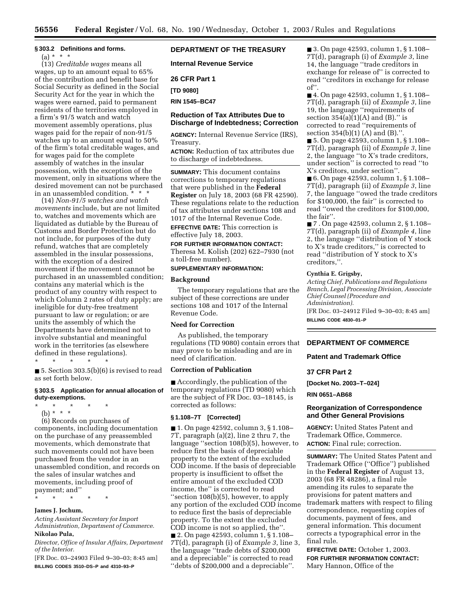# **§ 303.2 Definitions and forms.**

 $(a) * * * *$ 

(13) *Creditable wages* means all wages, up to an amount equal to 65% of the contribution and benefit base for Social Security as defined in the Social Security Act for the year in which the wages were earned, paid to permanent residents of the territories employed in a firm's 91/5 watch and watch movement assembly operations, plus wages paid for the repair of non-91/5 watches up to an amount equal to 50% of the firm's total creditable wages, and for wages paid for the complete assembly of watches in the insular possession, with the exception of the movement, only in situations where the desired movement can not be purchased in an unassembled condition. \* \* \*

(14) *Non-91/5 watches and watch movements* include, but are not limited to, watches and movements which are liquidated as dutiable by the Bureau of Customs and Border Protection but do not include, for purposes of the duty refund, watches that are completely assembled in the insular possessions, with the exception of a desired movement if the movement cannot be purchased in an unassembled condition; contains any material which is the product of any country with respect to which Column 2 rates of duty apply; are ineligible for duty-free treatment pursuant to law or regulation; or are units the assembly of which the Departments have determined not to involve substantial and meaningful work in the territories (as elsewhere defined in these regulations).

\* \* \* \* \*

■ 5. Section  $303.5(b)(6)$  is revised to read as set forth below.

### **§ 303.5 Application for annual allocation of duty-exemptions.**

- \* \* \* \* \*
	- (b) \* \* \*

(6) Records on purchases of components, including documentation on the purchase of any preassembled movements, which demonstrate that such movements could not have been purchased from the vendor in an unassembled condition, and records on the sales of insular watches and movements, including proof of payment; and''

\* \* \* \* \*

### **James J. Jochum,**

*Acting Assistant Secretary for Import Administration, Department of Commerce.*  **Nikolao Pula,** 

*Director, Office of Insular Affairs, Department of the Interior.*

[FR Doc. 03–24903 Filed 9–30–03; 8:45 am] **BILLING CODES 3510–DS–P and 4310–93–P**

# **DEPARTMENT OF THE TREASURY**

**Internal Revenue Service** 

**26 CFR Part 1** 

**[TD 9080]** 

**RIN 1545–BC47** 

## **Reduction of Tax Attributes Due to Discharge of Indebtedness; Correction**

**AGENCY:** Internal Revenue Service (IRS), Treasury.

**ACTION:** Reduction of tax attributes due to discharge of indebtedness.

**SUMMARY:** This document contains corrections to temporary regulations that were published in the **Federal Register** on July 18, 2003 (68 FR 42590). These regulations relate to the reduction of tax attributes under sections 108 and 1017 of the Internal Revenue Code. **EFFECTIVE DATE:** This correction is effective July 18, 2003.

**FOR FURTHER INFORMATION CONTACT:** Theresa M. Kolish (202) 622–7930 (not a toll-free number).

#### **SUPPLEMENTARY INFORMATION:**

#### **Background**

The temporary regulations that are the subject of these corrections are under sections 108 and 1017 of the Internal Revenue Code.

## **Need for Correction**

As published, the temporary regulations (TD 9080) contain errors that may prove to be misleading and are in need of clarification.

## **Correction of Publication**

■ Accordingly, the publication of the temporary regulations (TD 9080) which are the subject of FR Doc. 03–18145, is corrected as follows:

## **§ 1.108–7T [Corrected]**

■ 1. On page 42592, column 3, § 1.108– 7T, paragraph (a)(2), line 2 thru 7, the language ''section 108(b)(5), however, to reduce first the basis of depreciable property to the extent of the excluded COD income. If the basis of depreciable property is insufficient to offset the entire amount of the excluded COD income, the'' is corrected to read ''section 108(b)(5), however, to apply any portion of the excluded COD income to reduce first the basis of depreciable property. To the extent the excluded COD income is not so applied, the''. ■ 2. On page 42593, column 1, § 1.108– 7T(d), paragraph (i) of *Example 3*, line 3, the language ''trade debts of \$200,000 and a depreciable'' is corrected to read ''debts of \$200,000 and a depreciable''.

■ 3. On page 42593, column 1, § 1.108– 7T(d), paragraph (i) of *Example 3*, line 14, the language ''trade creditors in exchange for release of'' is corrected to read ''creditors in exchange for release of''.

■ 4. On page 42593, column 1, § 1.108– 7T(d), paragraph (ii) of *Example 3*, line 19, the language ''requirements of section  $354(a)(1)(A)$  and  $(B)$ ." is corrected to read ''requirements of section 354(b)(1) (A) and (B).''.

■ 5. On page 42593, column 1, § 1.108– 7T(d), paragraph (ii) of *Example 3*, line 2, the language ''to X's trade creditors, under section'' is corrected to read ''to X's creditors, under section''.

■ 6. On page 42593, column 1, § 1.108– 7T(d), paragraph (ii) of *Example 3*, line 7, the language ''owed the trade creditors for \$100,000, the fair'' is corrected to read ''owed the creditors for \$100,000, the fair''.

■ 7 . On page 42593, column 2, § 1.108– 7T(d), paragraph (ii) of *Example 4*, line 2, the language ''distribution of Y stock to X's trade creditors,'' is corrected to read ''distribution of Y stock to X's creditors,''.

## **Cynthia E. Grigsby,**

*Acting Chief, Publications and Regulations Branch, Legal Processing Division, Associate Chief Counsel (Procedure and Administration).* [FR Doc. 03–24912 Filed 9–30–03; 8:45 am] **BILLING CODE 4830–01–P**

## **DEPARTMENT OF COMMERCE**

#### **Patent and Trademark Office**

#### **37 CFR Part 2**

**[Docket No. 2003–T–024]** 

**RIN 0651–AB68** 

#### **Reorganization of Correspondence and Other General Provisions**

**AGENCY:** United States Patent and Trademark Office, Commerce. **ACTION:** Final rule; correction.

**SUMMARY:** The United States Patent and Trademark Office (''Office'') published in the **Federal Register** of August 13, 2003 (68 FR 48286), a final rule amending its rules to separate the provisions for patent matters and trademark matters with respect to filing correspondence, requesting copies of documents, payment of fees, and general information. This document corrects a typographical error in the final rule.

**EFFECTIVE DATE:** October 1, 2003. **FOR FURTHER INFORMATION CONTACT:** Mary Hannon, Office of the